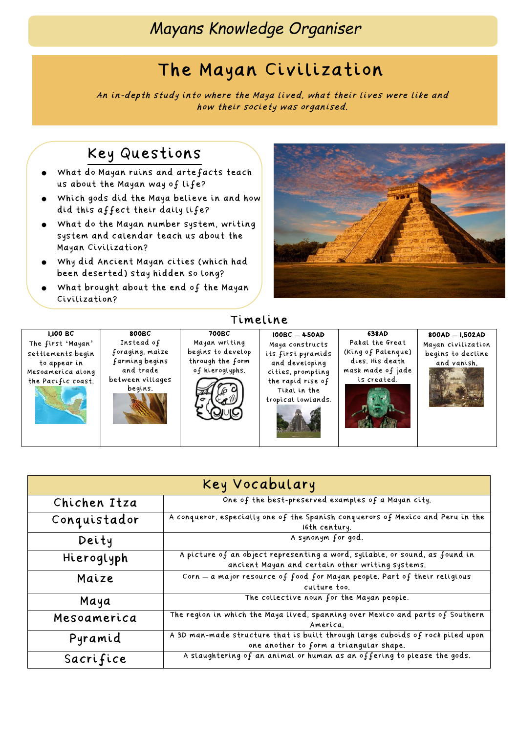# The Mayan Civilization

An in-depth study into where the Maya lived, what their lives were like and how their society was organised.

## Key Questions

- What do Mayan ruins and artefacts teach us about the Mayan way of life?
- Which gods did the Maya believe in and how did this affect their daily life?
- What do the Mayan number system, writing system and calendar teach us about the Mayan Civilization?
- Why did Ancient Mayan cities (which had been deserted) stay hidden so long?
- What brought about the end of the Mayan Civilization?



1,100 BC The first 'Mayan' settlements begin to appear in Mesoamerica along the Pacific coast.





#### 700BC Mayan writing begins to develop through the form of hieroglyphs.

Timeline



#### 100BC **–** 450AD Maya constructs its first pyramids and developing cities, prompting the rapid rise of Tikal in the

tropical lowlands.

#### 638AD Pakal the Great (King of Palenque) dies. His death mask made of jade is created.



| Key Vocabulary |                                                                                                                                 |
|----------------|---------------------------------------------------------------------------------------------------------------------------------|
| Chichen Itza   | One of the best-preserved examples of a Mayan city.                                                                             |
| Conquistador   | A conqueror, especially one of the Spanish conquerors of Mexico and Peru in the<br>16th century.                                |
| Deity          | A synonym for god.                                                                                                              |
| Hieroglyph     | A picture of an object representing a word, syllable, or sound, as found in<br>ancient Mayan and certain other writing systems. |
| Maize          | Corn - a major resource of food for Mayan people. Part of their religious<br>culture too.                                       |
| Maya           | The collective noun for the Mayan people.                                                                                       |
| Mesoamerica    | The region in which the Maya lived, spanning over Mexico and parts of Southern<br>America.                                      |
| Pyramid        | A 3D man-made structure that is built through large cuboids of rock piled upon<br>one another to form a triangular shape.       |
| Sacrifice      | A slaughtering of an animal or human as an offering to please the gods.                                                         |